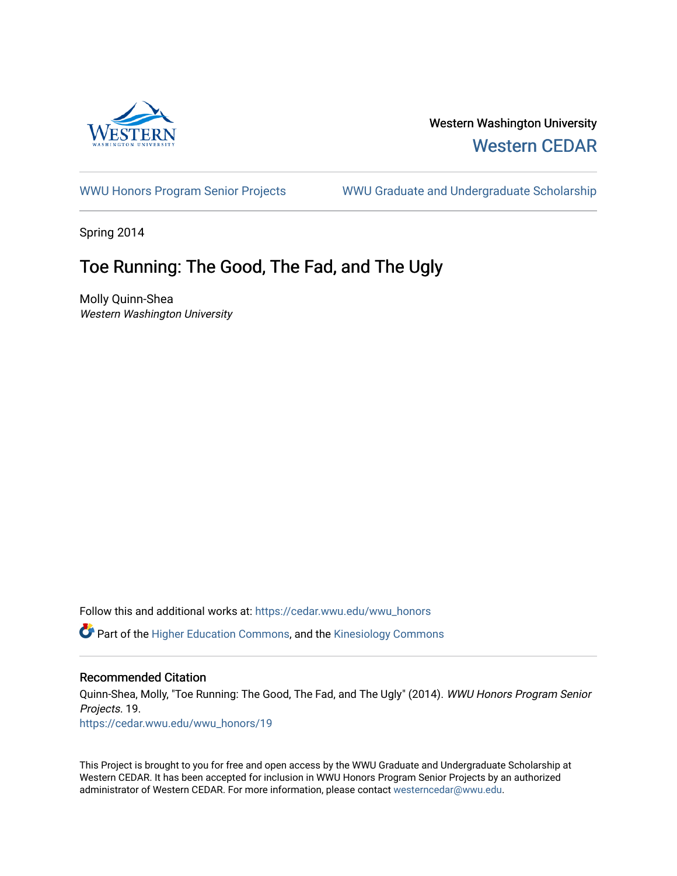

# Western Washington University [Western CEDAR](https://cedar.wwu.edu/)

[WWU Honors Program Senior Projects](https://cedar.wwu.edu/wwu_honors) WWU Graduate and Undergraduate Scholarship

Spring 2014

# Toe Running: The Good, The Fad, and The Ugly

Molly Quinn-Shea Western Washington University

Follow this and additional works at: [https://cedar.wwu.edu/wwu\\_honors](https://cedar.wwu.edu/wwu_honors?utm_source=cedar.wwu.edu%2Fwwu_honors%2F19&utm_medium=PDF&utm_campaign=PDFCoverPages) 

Part of the [Higher Education Commons,](http://network.bepress.com/hgg/discipline/1245?utm_source=cedar.wwu.edu%2Fwwu_honors%2F19&utm_medium=PDF&utm_campaign=PDFCoverPages) and the [Kinesiology Commons](http://network.bepress.com/hgg/discipline/42?utm_source=cedar.wwu.edu%2Fwwu_honors%2F19&utm_medium=PDF&utm_campaign=PDFCoverPages) 

## Recommended Citation

Quinn-Shea, Molly, "Toe Running: The Good, The Fad, and The Ugly" (2014). WWU Honors Program Senior Projects. 19.

[https://cedar.wwu.edu/wwu\\_honors/19](https://cedar.wwu.edu/wwu_honors/19?utm_source=cedar.wwu.edu%2Fwwu_honors%2F19&utm_medium=PDF&utm_campaign=PDFCoverPages) 

This Project is brought to you for free and open access by the WWU Graduate and Undergraduate Scholarship at Western CEDAR. It has been accepted for inclusion in WWU Honors Program Senior Projects by an authorized administrator of Western CEDAR. For more information, please contact [westerncedar@wwu.edu](mailto:westerncedar@wwu.edu).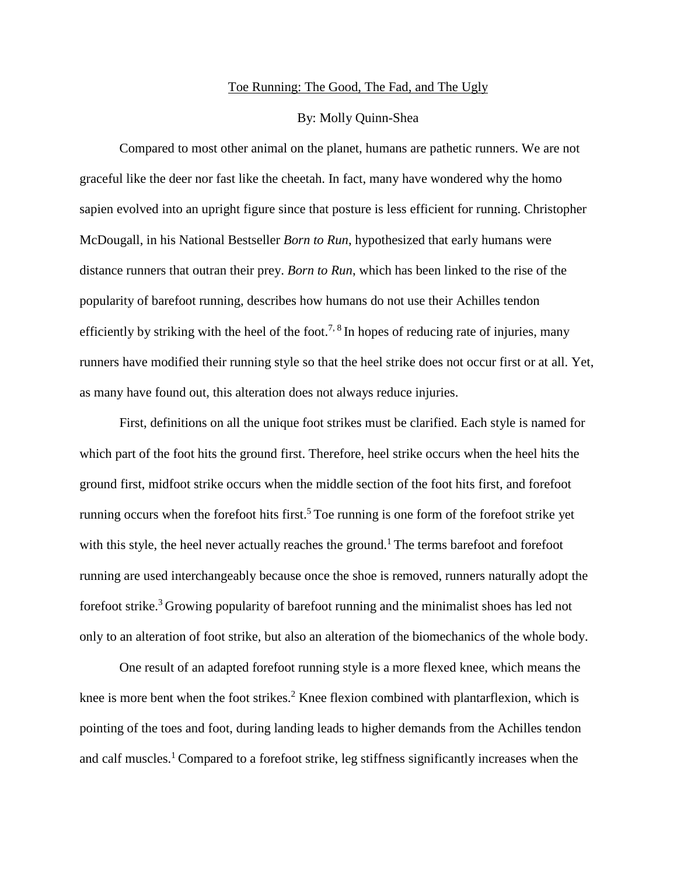#### Toe Running: The Good, The Fad, and The Ugly

## By: Molly Quinn-Shea

Compared to most other animal on the planet, humans are pathetic runners. We are not graceful like the deer nor fast like the cheetah. In fact, many have wondered why the homo sapien evolved into an upright figure since that posture is less efficient for running. Christopher McDougall, in his National Bestseller *Born to Run*, hypothesized that early humans were distance runners that outran their prey. *Born to Run*, which has been linked to the rise of the popularity of barefoot running, describes how humans do not use their Achilles tendon efficiently by striking with the heel of the foot.<sup>7, 8</sup> In hopes of reducing rate of injuries, many runners have modified their running style so that the heel strike does not occur first or at all. Yet, as many have found out, this alteration does not always reduce injuries.

First, definitions on all the unique foot strikes must be clarified. Each style is named for which part of the foot hits the ground first. Therefore, heel strike occurs when the heel hits the ground first, midfoot strike occurs when the middle section of the foot hits first, and forefoot running occurs when the forefoot hits first.<sup>5</sup> Toe running is one form of the forefoot strike yet with this style, the heel never actually reaches the ground.<sup>1</sup> The terms barefoot and forefoot running are used interchangeably because once the shoe is removed, runners naturally adopt the forefoot strike.<sup>3</sup> Growing popularity of barefoot running and the minimalist shoes has led not only to an alteration of foot strike, but also an alteration of the biomechanics of the whole body.

One result of an adapted forefoot running style is a more flexed knee, which means the knee is more bent when the foot strikes.<sup>2</sup> Knee flexion combined with plantarflexion, which is pointing of the toes and foot, during landing leads to higher demands from the Achilles tendon and calf muscles.<sup>1</sup> Compared to a forefoot strike, leg stiffness significantly increases when the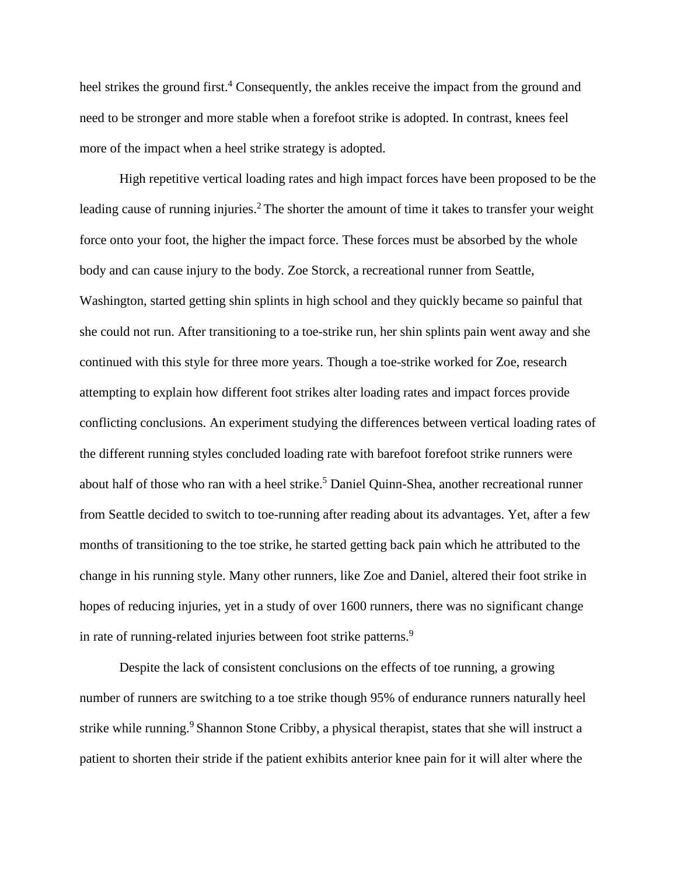heel strikes the ground first.<sup>4</sup> Consequently, the ankles receive the impact from the ground and need to be stronger and more stable when a forefoot strike is adopted. In contrast, knees feel more of the impact when a heel strike strategy is adopted.

High repetitive vertical loading rates and high impact forces have been proposed to be the leading cause of running injuries.<sup>2</sup> The shorter the amount of time it takes to transfer your weight force onto your foot, the higher the impact force. These forces must be absorbed by the whole body and can cause injury to the body. Zoe Storck, a recreational runner from Seattle, Washington, started getting shin splints in high school and they quickly became so painful that she could not run. After transitioning to a toe-strike run, her shin splints pain went away and she continued with this style for three more years. Though a toe-strike worked for Zoe, research attempting to explain how different foot strikes alter loading rates and impact forces provide conflicting conclusions. An experiment studying the differences between vertical loading rates of the different running styles concluded loading rate with barefoot forefoot strike runners were about half of those who ran with a heel strike. <sup>5</sup> Daniel Quinn-Shea, another recreational runner from Seattle decided to switch to toe-running after reading about its advantages. Yet, after a few months of transitioning to the toe strike, he started getting back pain which he attributed to the change in his running style. Many other runners, like Zoe and Daniel, altered their foot strike in hopes of reducing injuries, yet in a study of over 1600 runners, there was no significant change in rate of running-related injuries between foot strike patterns.<sup>9</sup>

Despite the lack of consistent conclusions on the effects of toe running, a growing number of runners are switching to a toe strike though 95% of endurance runners naturally heel strike while running.<sup>9</sup> Shannon Stone Cribby, a physical therapist, states that she will instruct a patient to shorten their stride if the patient exhibits anterior knee pain for it will alter where the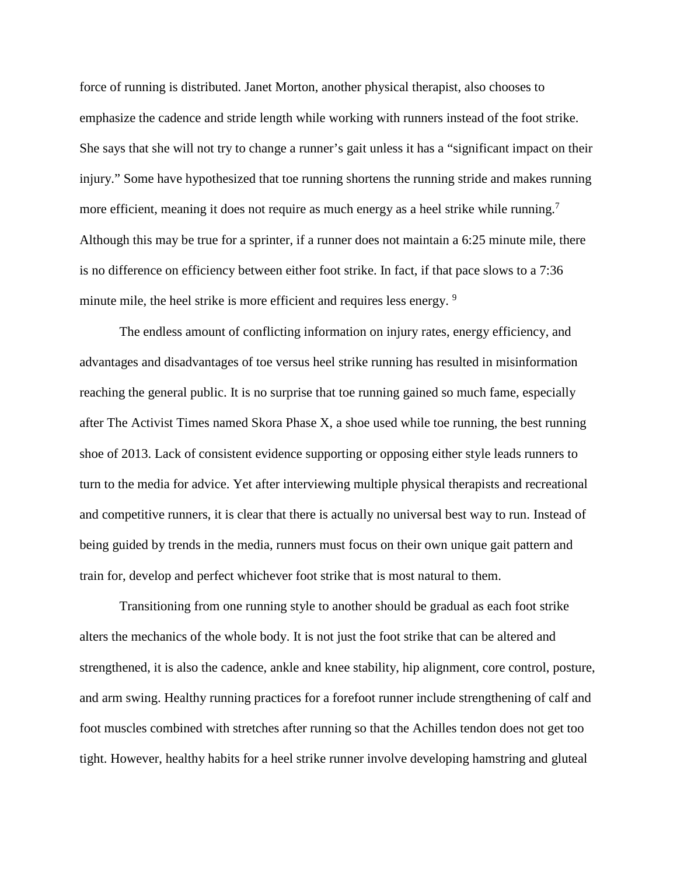force of running is distributed. Janet Morton, another physical therapist, also chooses to emphasize the cadence and stride length while working with runners instead of the foot strike. She says that she will not try to change a runner's gait unless it has a "significant impact on their injury." Some have hypothesized that toe running shortens the running stride and makes running more efficient, meaning it does not require as much energy as a heel strike while running.<sup>7</sup> Although this may be true for a sprinter, if a runner does not maintain a 6:25 minute mile, there is no difference on efficiency between either foot strike. In fact, if that pace slows to a 7:36 minute mile, the heel strike is more efficient and requires less energy. <sup>9</sup>

The endless amount of conflicting information on injury rates, energy efficiency, and advantages and disadvantages of toe versus heel strike running has resulted in misinformation reaching the general public. It is no surprise that toe running gained so much fame, especially after The Activist Times named Skora Phase X, a shoe used while toe running, the best running shoe of 2013. Lack of consistent evidence supporting or opposing either style leads runners to turn to the media for advice. Yet after interviewing multiple physical therapists and recreational and competitive runners, it is clear that there is actually no universal best way to run. Instead of being guided by trends in the media, runners must focus on their own unique gait pattern and train for, develop and perfect whichever foot strike that is most natural to them.

Transitioning from one running style to another should be gradual as each foot strike alters the mechanics of the whole body. It is not just the foot strike that can be altered and strengthened, it is also the cadence, ankle and knee stability, hip alignment, core control, posture, and arm swing. Healthy running practices for a forefoot runner include strengthening of calf and foot muscles combined with stretches after running so that the Achilles tendon does not get too tight. However, healthy habits for a heel strike runner involve developing hamstring and gluteal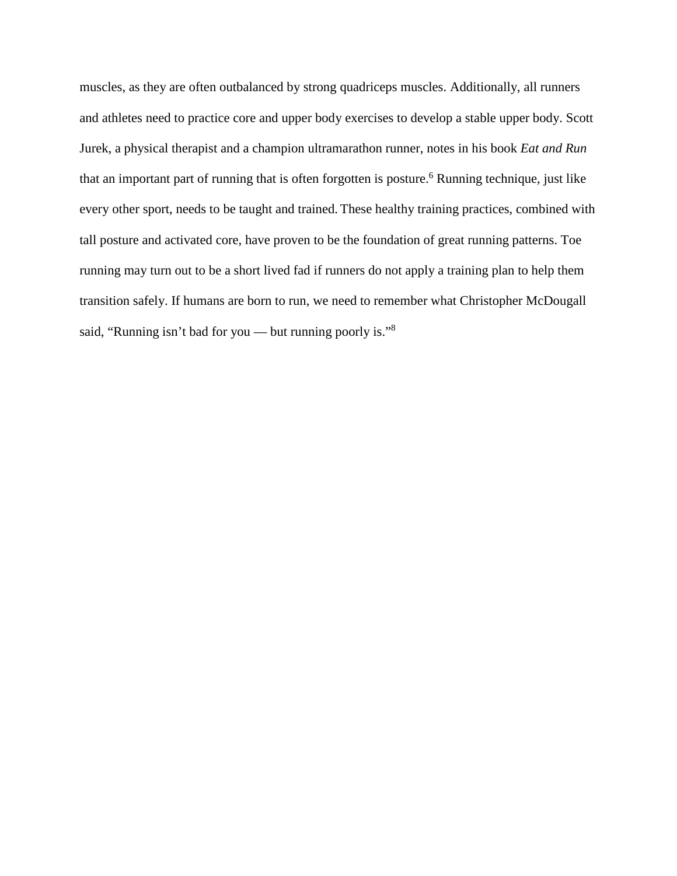muscles, as they are often outbalanced by strong quadriceps muscles. Additionally, all runners and athletes need to practice core and upper body exercises to develop a stable upper body. Scott Jurek, a physical therapist and a champion ultramarathon runner, notes in his book *Eat and Run* that an important part of running that is often forgotten is posture.<sup>6</sup> Running technique, just like every other sport, needs to be taught and trained. These healthy training practices, combined with tall posture and activated core, have proven to be the foundation of great running patterns. Toe running may turn out to be a short lived fad if runners do not apply a training plan to help them transition safely. If humans are born to run, we need to remember what Christopher McDougall said, "Running isn't bad for you — but running poorly is."8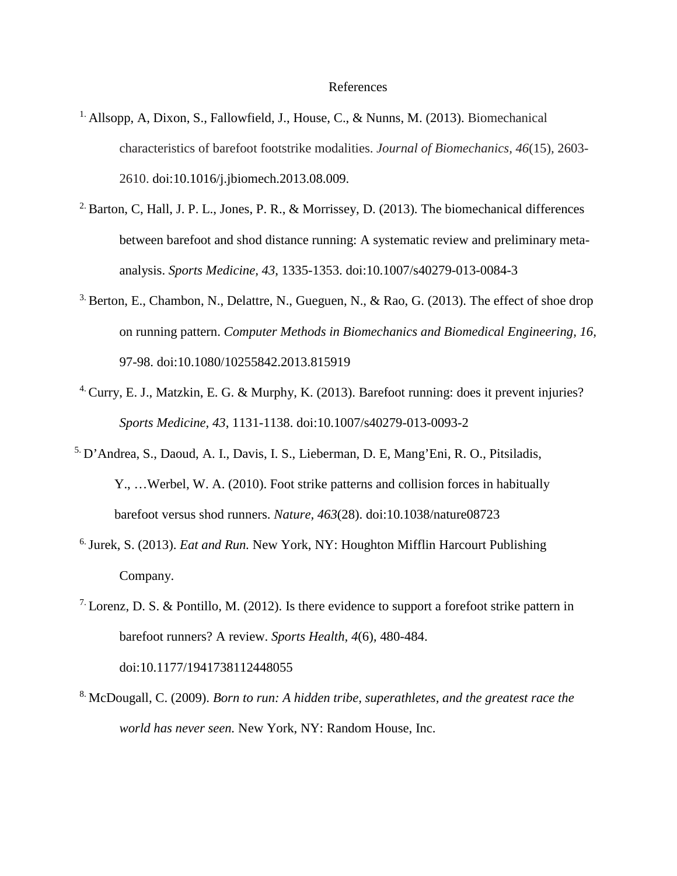#### References

- <sup>1.</sup> Allsopp, A, Dixon, S., Fallowfield, J., House, C., & Nunns, M. (2013). Biomechanical characteristics of barefoot footstrike modalities. *Journal of Biomechanics, 46*(15)*,* 2603- 2610. doi:10.1016/j.jbiomech.2013.08.009.
- <sup>2.</sup> Barton, C, Hall, J. P. L., Jones, P. R., & Morrissey, D. (2013). The biomechanical differences between barefoot and shod distance running: A systematic review and preliminary metaanalysis. *Sports Medicine, 43*, 1335-1353. doi:10.1007/s40279-013-0084-3
- <sup>3.</sup> Berton, E., Chambon, N., Delattre, N., Gueguen, N., & Rao, G. (2013). The effect of shoe drop on running pattern. *Computer Methods in Biomechanics and Biomedical Engineering, 16,*  97-98. doi:10.1080/10255842.2013.815919
- 4. Curry, E. J., Matzkin, E. G. & Murphy, K. (2013). Barefoot running: does it prevent injuries? *Sports Medicine, 43*, 1131-1138. doi:10.1007/s40279-013-0093-2
- 5. D'Andrea, S., Daoud, A. I., Davis, I. S., Lieberman, D. E, Mang'Eni, R. O., Pitsiladis, Y., …Werbel, W. A. (2010). Foot strike patterns and collision forces in habitually barefoot versus shod runners. *Nature, 463*(28). doi:10.1038/nature08723
- 6. Jurek, S. (2013). *Eat and Run.* New York, NY: Houghton Mifflin Harcourt Publishing Company.
- <sup>7.</sup> Lorenz, D. S. & Pontillo, M. (2012). Is there evidence to support a forefoot strike pattern in barefoot runners? A review. *Sports Health, 4*(6)*,* 480-484. doi:10.1177/1941738112448055
- 8. McDougall, C. (2009). *Born to run: A hidden tribe, superathletes, and the greatest race the world has never seen.* New York, NY: Random House, Inc.